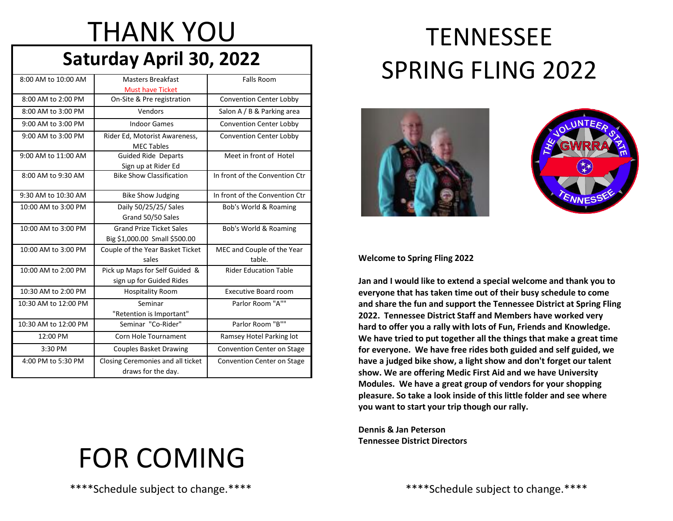# THANK YOU

### **Saturday April 30, 2022**

| 8:00 AM to 10:00 AM  | <b>Masters Breakfast</b>                                         | <b>Falls Room</b>                    |  |
|----------------------|------------------------------------------------------------------|--------------------------------------|--|
|                      | <b>Must have Ticket</b>                                          |                                      |  |
| 8:00 AM to 2:00 PM   | On-Site & Pre registration                                       | <b>Convention Center Lobby</b>       |  |
| 8:00 AM to 3:00 PM   | Vendors                                                          | Salon A / B & Parking area           |  |
| 9:00 AM to 3:00 PM   | <b>Indoor Games</b>                                              | <b>Convention Center Lobby</b>       |  |
| 9:00 AM to 3:00 PM   | Rider Ed, Motorist Awareness,<br><b>MEC Tables</b>               | <b>Convention Center Lobby</b>       |  |
| 9:00 AM to 11:00 AM  | <b>Guided Ride Departs</b><br>Sign up at Rider Ed                | Meet in front of Hotel               |  |
| 8:00 AM to 9:30 AM   | <b>Bike Show Classification</b>                                  | In front of the Convention Ctr       |  |
| 9:30 AM to 10:30 AM  | <b>Bike Show Judging</b>                                         | In front of the Convention Ctr       |  |
| 10:00 AM to 3:00 PM  | Daily 50/25/25/ Sales<br>Grand 50/50 Sales                       | Bob's World & Roaming                |  |
| 10:00 AM to 3:00 PM  | <b>Grand Prize Ticket Sales</b><br>Big \$1,000.00 Small \$500.00 | Bob's World & Roaming                |  |
| 10:00 AM to 3:00 PM  | Couple of the Year Basket Ticket<br>sales                        | MEC and Couple of the Year<br>table. |  |
| 10:00 AM to 2:00 PM  | Pick up Maps for Self Guided &<br>sign up for Guided Rides       | <b>Rider Education Table</b>         |  |
| 10:30 AM to 2:00 PM  | <b>Hospitality Room</b>                                          | <b>Executive Board room</b>          |  |
| 10:30 AM to 12:00 PM | Seminar<br>"Retention is Important"                              | Parlor Room "A""                     |  |
| 10:30 AM to 12:00 PM | Seminar "Co-Rider"                                               | Parlor Room "B""                     |  |
| 12:00 PM             | Corn Hole Tournament                                             | Ramsey Hotel Parking lot             |  |
| 3:30 PM              | <b>Couples Basket Drawing</b>                                    | <b>Convention Center on Stage</b>    |  |
| 4:00 PM to 5:30 PM   | Closing Ceremonies and all ticket<br>draws for the day.          | <b>Convention Center on Stage</b>    |  |

# FOR COMING

\*\*\*\*Schedule subject to change.\*\*\*\*

## **TENNESSEE** SPRING FLING 2022





#### **Welcome to Spring Fling 2022**

**Jan and I would like to extend a special welcome and thank you to everyone that has taken time out of their busy schedule to come and share the fun and support the Tennessee District at Spring Fling 2022. Tennessee District Staff and Members have worked very hard to offer you a rally with lots of Fun, Friends and Knowledge. We have tried to put together all the things that make a great time for everyone. We have free rides both guided and self guided, we have a judged bike show, a light show and don't forget our talent show. We are offering Medic First Aid and we have University Modules. We have a great group of vendors for your shopping pleasure. So take a look inside of this little folder and see where you want to start your trip though our rally.**

**Dennis & Jan Peterson Tennessee District Directors**